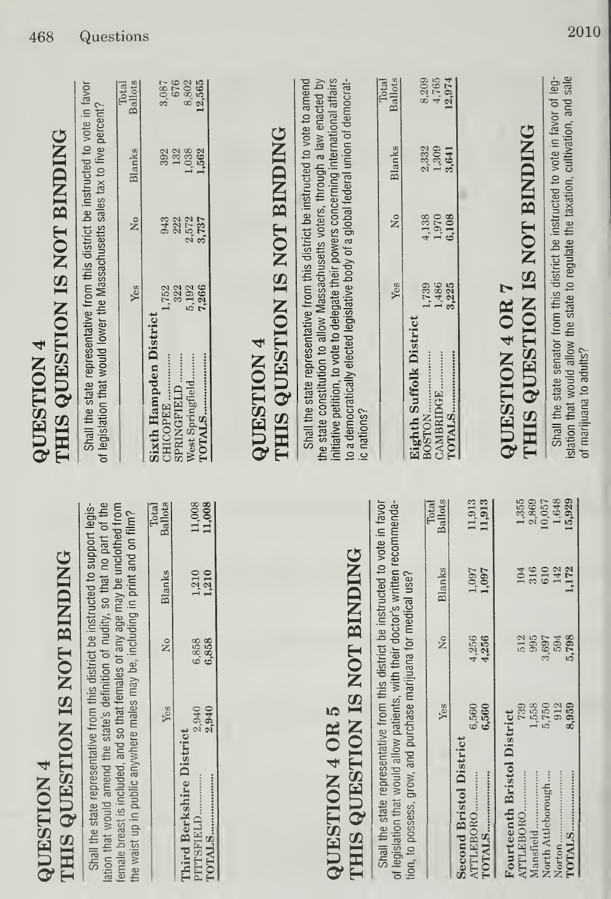|                  | <b>HIS QUESTION IS NOT BINDING</b> |
|------------------|------------------------------------|
|                  |                                    |
| <b>POLISTION</b> |                                    |
|                  |                                    |

Shall the state representative from this district be instructed to support legislation that would amend the state's definition of nudity, so that no part of the emale breast is included, and so that females of any age may be unclothed from the waist up in public anywhere males may be, including in print and on film?

| 1,210<br>6,858<br>2,940<br>Third Berkshire District<br>PITTSFIELD |               | Yes   | Χo    | Blanks | notal<br>Ballots |
|-------------------------------------------------------------------|---------------|-------|-------|--------|------------------|
|                                                                   |               |       |       |        |                  |
|                                                                   |               |       |       |        |                  |
|                                                                   |               |       |       |        | 11,008           |
|                                                                   | <b>TOTALS</b> | 2,940 | 6,858 | 1,210  | 11,008           |

### THIS QUESTION IS NOT BINDING QUESTION 4 OR 5

Shall the state representative from this district be instructed to vote in favor of legislation that would allow patients, with their doctor's written recommendation, to possess, grow, and purchase marijuana for medical use?

| 4,256<br>4,256 | 1,097<br>1,097 | 11,913<br>11,913  |
|----------------|----------------|-------------------|
|                |                |                   |
|                |                |                   |
| 512            |                | 1,355             |
| 995            |                | 2,869             |
| 3,697          |                | 10,05             |
| 594            | 142            | 1,648             |
| 5,798          | 1,172          | 15,92             |
|                |                | 316<br>610<br>104 |

# THIS QUESTION IS NOT BINDING **QUESTION 4**

Shall the state representative from this district be instructed to vote in favor of legislation that would lower the Massachusetts sales tax to five percent?

|                               | Yes          | $\tilde{\mathbf{z}}$ | Blanks            | <b>Ballots</b>        |
|-------------------------------|--------------|----------------------|-------------------|-----------------------|
| <b>Sixth Hampden District</b> |              |                      |                   |                       |
| CHICOPEE.                     |              |                      |                   |                       |
| SPRINGFIELD                   | 1,752<br>322 | 943<br>222           |                   |                       |
| West Springfield              | 5,192        |                      | 392<br>132<br>038 | 3,087<br>676<br>8,802 |
| TOTALS                        | 7,266        | 2,572<br>3,737       | 1,562             | 12,565                |

# THIS QUESTION IS NOT BINDING **QUESTION 4**

Shall the state representative from this district be instructed to vote to amend the state constitution to allow Massachusetts voters, through a law enacted by initiative petition, to vote to delegate their powers concerning international affairs to a democratically elected legislative body of a global federal union of democratc nations?

|                                   | Yes            | Χo    | Blanks         | Ballots                  |
|-----------------------------------|----------------|-------|----------------|--------------------------|
|                                   |                |       |                |                          |
| Eighth Suffolk District<br>BOSTON |                | 4,138 |                |                          |
| CAMBRIDGE                         | 1,739<br>1,486 | 1,970 | 2,332<br>1,309 | 8,209<br>4,765<br>12,974 |
| TOTALS.                           | 3,225          | 6,108 | 3,641          |                          |

 $T_{\alpha t}$ 

 $T_{\alpha+1}$ 

# THIS QUESTION IS NOT BINDING **QUESTION 4 OR 7**

islation that would allow the state to regulate the taxation, cultivation, and sale Shall the state senator from this district be instructed to vote in favor of legof marijuana to adults?

Total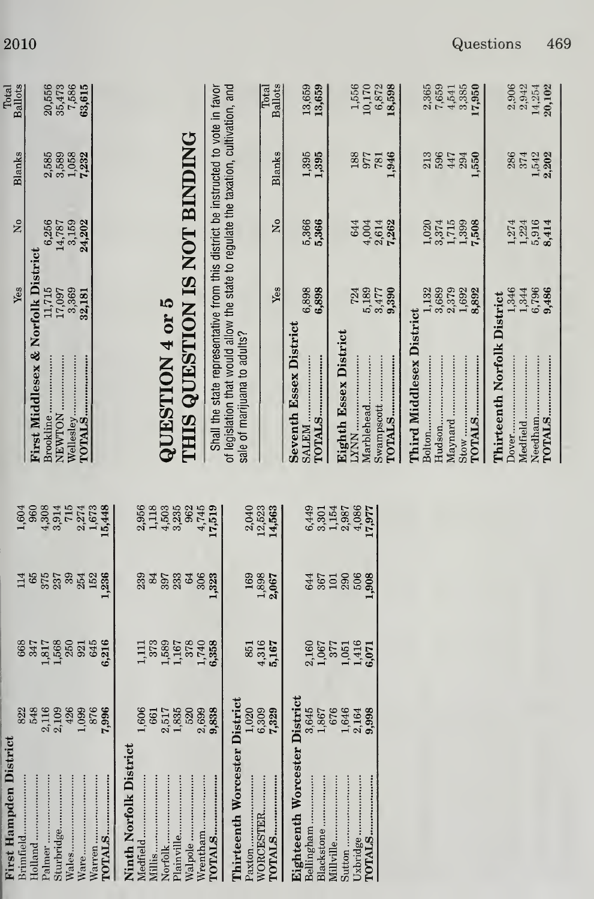| <b>Ballots</b><br>Total           | $\begin{array}{c} 20,556 \\ 35,473 \\ 7,586 \\ \textbf{63,615} \end{array}$       |                   |                                                                                   |                                                                                                                                                                                                          | <b>Ballots</b><br>Total | 13,659<br>13,659                                        | $\begin{array}{c} 1,556 \\ 10,170 \\ 6,872 \\ \textbf{18,598} \end{array}$ | 2,365<br>7,659<br>3,385<br>4,541<br>17,950                        | 2,906<br>2,942<br>14,254                                    |
|-----------------------------------|-----------------------------------------------------------------------------------|-------------------|-----------------------------------------------------------------------------------|----------------------------------------------------------------------------------------------------------------------------------------------------------------------------------------------------------|-------------------------|---------------------------------------------------------|----------------------------------------------------------------------------|-------------------------------------------------------------------|-------------------------------------------------------------|
| Blanks                            | $2,585$<br>$3,589$<br>$1,058$                                                     | 7,232             |                                                                                   |                                                                                                                                                                                                          | <b>Blanks</b>           | 1,395<br>1,395                                          | 188<br>,946<br><b>187</b><br>187                                           | 596<br>213<br>447<br>550<br>294                                   | 286<br>1,542<br>2,202<br>374                                |
| 2°                                | 6,256<br>3,159<br>14,787                                                          | 24,202            |                                                                                   |                                                                                                                                                                                                          | ż                       | 5,366<br>5,366                                          | 644<br>4,004<br>2,614<br>7,262                                             | $3.374$<br>$1.715$<br>$1.399$<br>$7.508$<br>1,020                 | $\frac{1,224}{5,916}$<br>1,274                              |
| Yes                               | 3,369<br>32,181<br>11,715<br>17,097                                               |                   |                                                                                   |                                                                                                                                                                                                          | Yes                     | 6,898<br>6,898                                          | 5,189<br>3,477<br>9,390<br>724                                             | 3,689<br>2,379<br>1,692<br>8,892<br>1,132                         | 1,346<br>1,344<br>6,796<br>9,486                            |
|                                   | <b>First Middlesex &amp; Norfolk District</b><br>Wellesley<br>NEWTON<br>Brookline | TOTALS            | THIS QUESTION IS NOT BINDING<br>QUESTION 4 or 5                                   | of legislation that would allow the state to regulate the taxation, cultivation, and<br>Shall the state representative from this district be instructed to vote in favor<br>sale of marijuana to adults? |                         | <b>Seventh Essex District</b><br>TOTALS<br><b>NATRS</b> | Eighth Essex District<br>Swampscott<br>Marblehead<br>TOTALS                | Third Middlesex District<br>Maynard<br>Bolton<br>TOTALS<br>Hudson | Thirteenth Norfolk District<br>Needham<br>Medfield<br>Dover |
| 1,604                             | 715<br>960<br>4,308<br>3,914<br>2,274                                             | 1,673<br>15,448   | 3,235<br>1,118<br>4,503<br>962<br>4,745<br>2,956                                  | 17,519<br>2,040                                                                                                                                                                                          | 12,523<br>14,563        | 6,449<br>3,301                                          | 1,154<br>4,086<br>2,987<br>17,977                                          |                                                                   |                                                             |
| 114                               | 65<br>375<br>237<br>39<br>254                                                     | 152<br>236        | 3340333<br>306<br>64                                                              | 1,323<br>169                                                                                                                                                                                             | 1,898<br>2,067          | 644<br>367                                              | 506<br>290<br>1,908<br>101                                                 |                                                                   |                                                             |
| 668                               | 1,817<br>1,568<br>250<br>347<br>921                                               | 6,216<br>645      | 1,589<br>1,167<br>378<br>1,111<br>373                                             | 1,740<br>6,358<br>851                                                                                                                                                                                    | 4,316<br>5,167          | 2,160<br>$1,067$<br>377                                 | 1,416<br>1,051<br>6,071                                                    |                                                                   |                                                             |
| 822<br>$\overline{\mathbf{c}}$    | 548<br>2,116<br>2,109<br>426<br>1,099                                             | 876<br>7,996      | 1,606<br>1,835<br>520<br>2,699<br>2,517<br>661                                    | District<br>1,020<br>9,838                                                                                                                                                                               | 6,309<br>7,329          | District<br>3,645<br>1,867                              | 676<br>1,646<br>2,164<br>9,998                                             |                                                                   |                                                             |
| First Hampden Distri<br>Brimfield | Holland<br>Sturbridge<br>Palmer<br>Wales                                          | <br><b>TOTALS</b> | Ninth Norfolk Distric<br>Walpole<br>Wrentham<br>Plainville<br>Norfolk<br>Medfield | Thirteenth Worcester<br>Paxton                                                                                                                                                                           | WORCESTER<br>TOTALS     | Eighteenth Worcester<br>Bellingham<br>Blackstone        | Uxbridge<br>Millville<br>TOTALS                                            |                                                                   |                                                             |

I

 $\begin{array}{c} 2,365 \\ 7,659 \\ 4,541 \\ 3,385 \\ \textbf{17,950} \end{array}$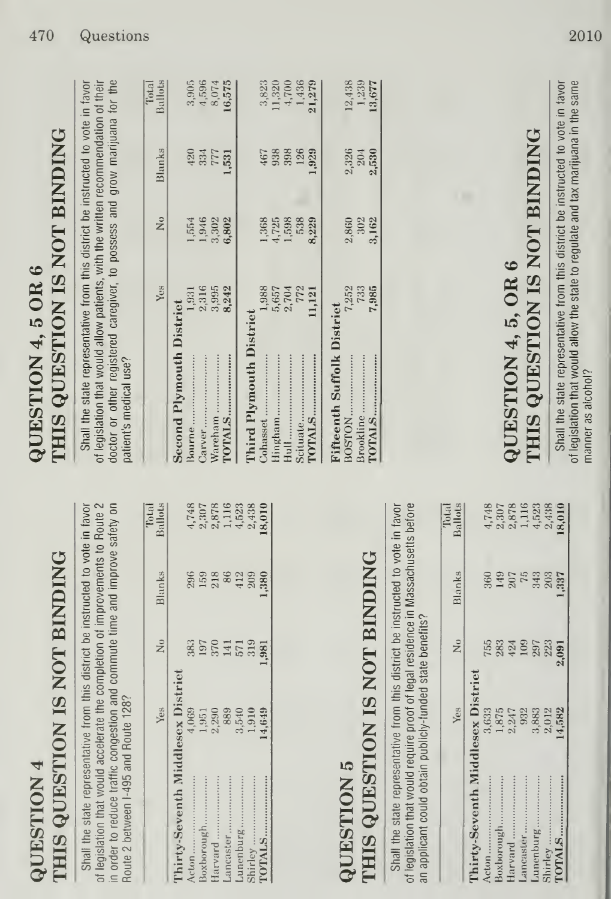|                         | <b>HIS QUESTION IS NOT BINDING</b> |
|-------------------------|------------------------------------|
|                         |                                    |
|                         |                                    |
|                         |                                    |
|                         |                                    |
|                         |                                    |
|                         |                                    |
|                         |                                    |
|                         |                                    |
|                         |                                    |
|                         |                                    |
|                         |                                    |
| $\overline{\mathbf{r}}$ |                                    |
|                         |                                    |
|                         |                                    |
|                         |                                    |
| MOLESTION               |                                    |
|                         |                                    |
|                         |                                    |

Shall the state representative from this district be instructed to vote in favor of legislation that would accelerate the completion of improvements to Route 2 in order to reduce traffic congestion and commute time and improve safety on Route 2 between I-495 and Route 128?

|                                   | Yes                                                                              | $\tilde{z}$       | Blanks | <b>Ballots</b>                                           |
|-----------------------------------|----------------------------------------------------------------------------------|-------------------|--------|----------------------------------------------------------|
| Thirty-Seventh Middlesex District |                                                                                  |                   |        |                                                          |
| Acton                             |                                                                                  |                   |        |                                                          |
| Boxborough                        |                                                                                  |                   |        |                                                          |
| Harvard                           |                                                                                  |                   |        |                                                          |
| Lancaster                         |                                                                                  |                   |        |                                                          |
| Lunenburg                         |                                                                                  |                   |        |                                                          |
| Shirley                           | $4,969$<br>$1,951$<br>$0,989$<br>$0,980$<br>$0,90$<br>$0,90$<br>$0,90$<br>$1,91$ | 383<br>285 453 38 |        | $4,748$ $2,878$ $0,7878$ $1,116$ $4,523$ $0,010$ $0,000$ |
| TOTALS                            | 4,649                                                                            |                   |        |                                                          |

### **THIS QUESTION IS NOT BINDING QUESTION 5**

Shall the state representative from this district be instructed to vote in favor of legislation that would require proof of legal residence in Massachusetts before an applicant could obtain publicly-funded state benefits?

Total

| 1997<br>1997<br>1998<br>1998<br>1998<br>5884952319091<br>Thirty-Seventh Middlesex District<br>3,633<br>1,875<br>2,247<br>2,383<br>3,582<br>4,582<br>Boxborough<br>Lancaster<br>Harvard<br>Acton | Blanks | <b>Ballots</b>                |
|-------------------------------------------------------------------------------------------------------------------------------------------------------------------------------------------------|--------|-------------------------------|
|                                                                                                                                                                                                 |        |                               |
|                                                                                                                                                                                                 |        | 4,748                         |
|                                                                                                                                                                                                 |        | 2,307                         |
|                                                                                                                                                                                                 |        |                               |
|                                                                                                                                                                                                 |        |                               |
| Lunenburg                                                                                                                                                                                       |        | $2,878$<br>$1,116$<br>$4,523$ |
| Shirley                                                                                                                                                                                         |        | 2,438                         |
| TOTALS.                                                                                                                                                                                         |        | 18,010                        |

# THIS QUESTION IS NOT BINDING QUESTION 4, 5 OR 6

doctor or other registered caregiver, to possess and grow marijuana for the Shall the state representative from this district be instructed to vote in favor of legislation that would allow patients, with the written recommendation of their patient's medical use?

|                                   | Yes    | ž     | Blanks     | $\ddot{\bm{z}}$<br>Ballots |
|-----------------------------------|--------|-------|------------|----------------------------|
| <b>Second Plymouth District</b>   |        |       |            |                            |
| Bourne                            | 1,931  | 1,554 | 420        | 3,905                      |
| Carver                            | 2,316  | 1,946 |            | 4,596                      |
| Wareham                           | 3,995  | 3,302 | 334<br>777 | 8,074                      |
|                                   | 8,242  | 6,802 | 1,531      | 16,575                     |
| <b>Third Plymouth District</b>    |        |       |            |                            |
| Cohasset.                         | 1,988  | 1,368 | 467        | 3,823                      |
| Hingham                           | 5,657  | 4,725 | 938        | 11,320                     |
| $\text{Hull}$                     | 2,704  | 1,598 | 398        | 4,700                      |
| Scituate                          | 772    | 538   | 126        | 1,436                      |
|                                   | 11,121 | 8,229 | 1,929      | 21,279                     |
| <b>Fifteenth Suffolk District</b> |        |       |            |                            |
| BOSTON.                           | 7,252  | 2,860 | 2,326      | 12,438                     |
| <b>Brookline</b>                  | 733    | 302   | 204        | 1,239                      |
| TOTALS.                           | 7,985  | 3,162 | 2,530      | 13,677                     |

# THIS QUESTION IS NOT BINDING QUESTION 4, 5, OR 6

Shall the state representative from this district be instructed to vote in favor of legislation that would allow the state to regulate and tax marijuana in the same manner as alcohol?

 $T<sub>012</sub>$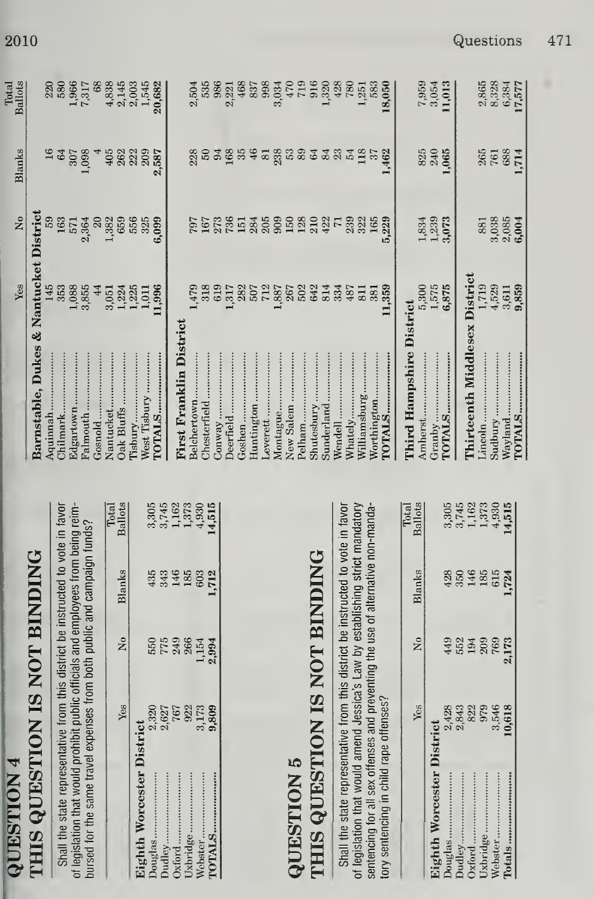|                         |                      |                                                     |                                          |                                        | Yes                   | $\tilde{\mathbf{z}}$ | Blanks        | <b>Ballots</b>         |
|-------------------------|----------------------|-----------------------------------------------------|------------------------------------------|----------------------------------------|-----------------------|----------------------|---------------|------------------------|
|                         |                      | N IS NOT BINDING                                    |                                          | Barnstable, Dukes & Nantucket District |                       |                      |               |                        |
|                         |                      |                                                     |                                          | Aquinnah                               | 145                   | 59                   |               |                        |
|                         |                      | e from this district be instructed to vote in favor |                                          | Chilmark                               | 353                   | 163                  | 64            | 220<br>580             |
|                         |                      | it public officials and employees from being reim-  |                                          | Edgartown                              |                       | 571                  | 307           | 1,966<br>7,317         |
|                         |                      | enses from both public and campaign funds?          |                                          | Palmouth                               | $\frac{1,088}{3,855}$ | 2,364                | 0.98          |                        |
|                         |                      |                                                     |                                          | Gosnold                                | 44                    | $20\,$               |               | 68                     |
|                         |                      |                                                     | Total                                    | Nantucket                              | 3,051                 | 1,382                | 405           | 4,838                  |
| Yes                     | $\tilde{z}$          | Blanks                                              | <b>Ballots</b>                           | Oak Bluffs                             | 1,224                 | 659                  | 262           | 2,145                  |
| $\overline{\mathbf{c}}$ |                      |                                                     |                                          | l'isbury                               | $\frac{1,225}{1,011}$ | 556                  | 222<br>209    | $2,003$<br>$1,545$     |
|                         | 550                  | 435                                                 |                                          | West Tisbury                           |                       | 325                  |               |                        |
| 2,320<br>2,627          |                      | 343                                                 | $3,745$<br>$3,745$                       | <b>TOTALS</b>                          | 1,996                 | 6,099                | 2,587         | 20,682                 |
| 767                     | 775<br>249<br>266    | 146                                                 |                                          |                                        |                       |                      |               |                        |
| 922                     |                      | 185                                                 |                                          | First Franklin District                |                       |                      |               |                        |
| 3,173                   | 1,154                | 603                                                 | $\frac{1,162}{1,373}$                    | Belchertown                            | 1,479                 | 797                  | 228           | 2,504                  |
| 9,809                   | 2,994                | 1,712                                               | 14,515                                   | Chesterfield                           | 318                   | 167                  | <b>SO</b>     | 535                    |
|                         |                      |                                                     |                                          | $\mathbb{C}$ onway                     | 619                   | 273                  |               | 986                    |
|                         |                      |                                                     |                                          | Deerfield                              | 1,317                 | 736                  |               | 2,221                  |
|                         |                      |                                                     |                                          | Goshen                                 | 282                   | 151                  |               | 468                    |
|                         |                      |                                                     |                                          | Huntington                             | 507                   | 284                  | 38346         | 837                    |
|                         |                      |                                                     |                                          | Leverett                               | 712                   | 205                  | $\mathbf{81}$ | 998                    |
|                         |                      |                                                     |                                          | Montague                               | 1,887                 | 909                  | 238           | 3,034                  |
|                         |                      |                                                     |                                          | New Salem                              | 267                   | 150                  |               | 470                    |
|                         |                      |                                                     |                                          | Pelham                                 | 502                   | 128                  | 53            | 719                    |
|                         |                      | NIS NOT BINDING                                     |                                          | Shutesbury                             | 642                   | 210                  | 33.5          | 916                    |
|                         |                      |                                                     |                                          | Sunderland                             | 814                   | 422                  |               | 1,320                  |
|                         |                      | e from this district be instructed to vote in favor |                                          | Wendell                                | 334                   | $\overline{71}$      |               | 428                    |
|                         |                      |                                                     |                                          | Whately                                | 487                   | 239                  |               | 780                    |
|                         |                      | d Jessica's Law by establishing strict mandatory    |                                          | Williamsburg                           | 811                   | 322                  | 118           | 1,251                  |
|                         |                      | and preventing the use of alternative non-manda-    |                                          | Worthington.                           | 381                   | 165                  | $\frac{1}{3}$ | 583                    |
| fenses?                 |                      |                                                     |                                          | <b>FOTALS.</b>                         | 11,359                | 5,229                | 462           | 18,050                 |
|                         |                      |                                                     | Total                                    | <b>Third Hampshire District</b>        |                       |                      |               |                        |
| Yes                     | $\tilde{\mathbf{z}}$ | Blanks                                              | <b>Ballots</b>                           | Amherst                                | 5,300                 | 1,834                | 825           |                        |
| $\ddot{\mathbf{c}}$     |                      |                                                     |                                          | Granby                                 | 1,575                 | 1,239<br>3,073       | 240           | 7,959<br>3,054         |
| 2,428                   | 449                  | 428                                                 |                                          | <b>TOTALS</b>                          | 6,875                 |                      | 065           | 11,013                 |
| 2,843                   | 552                  | 350                                                 | $3,745$<br>$3,745$<br>$1,373$<br>$1,373$ |                                        |                       |                      |               |                        |
| 822                     | 194                  | 146                                                 |                                          | <b>Chirteenth Middlesex District</b>   |                       |                      |               |                        |
| 979                     | 209                  | 185                                                 |                                          | .incoln                                | 1,719                 | 881                  | 265<br>761    | 2,865<br>8,328         |
| 3,546                   | 769                  | 615                                                 |                                          | Sudbury                                | 4,529                 | 3,038                |               |                        |
| 10,618                  | 2,173                | 1,724                                               | $4,930$<br>14,515                        | Wayland                                | 3,611<br>9,859        | 2,085<br>6,004       |               |                        |
|                         |                      |                                                     |                                          |                                        |                       |                      | 688<br>1,714  | $\frac{6,384}{17,577}$ |

Shall the state representativ of legislation that would amen sentencing for all sex offenses tory sentencing in child rape or

**THIS QUESTIO QUESTION 5** 

**Eighth Worcester Distr** 

Douglas ........................... Dudley.........................

Oxford............................ Uxbridge........................

Webster...................... 

2010

Shall the state representativ of legislation that would prohib bursed for the same travel exp

**THIS QUESTIO** 

**QUESTION 4** 

**Eighth Worcester Distr** 

Douglas ........................ Dudley.............................. Uxbridge.......................

Oxford...............................

Webster...................... 

Total

Questions 471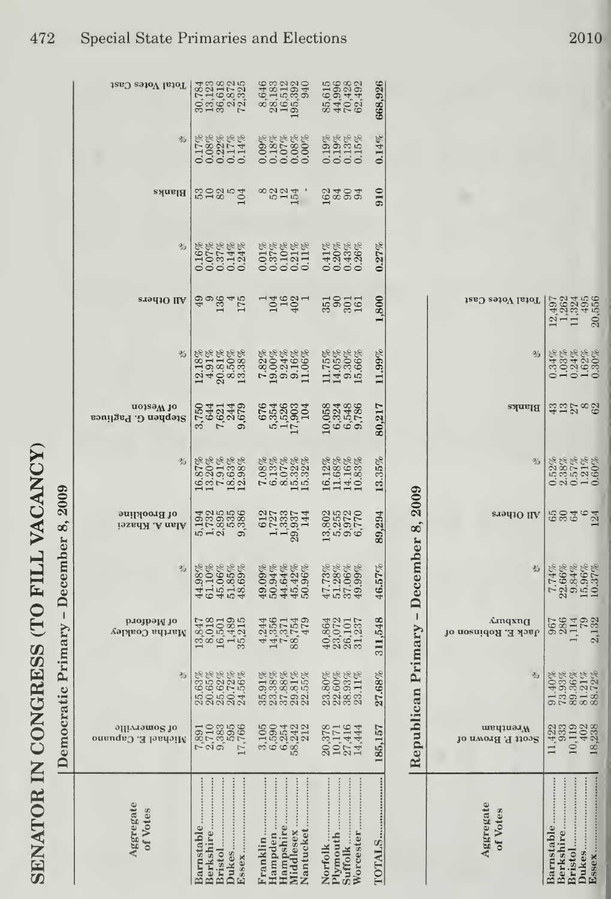| Aggregate<br>of Votes<br>Barnstable.<br><b>Berkshire</b><br>Bristol<br>Dukes. | Democratic Primary - December 8, 2009<br>$7,891$<br>$7,895$<br>$7,895$<br>$7,766$<br>$1,766$<br>әщлләшо§ јо<br>Nichael E. Capuano | 25.63%<br>20.65%<br>20.62%<br>20.72%<br>$\%$                                          | рлојрәјү јо<br>13,847<br>18,018<br>19,489<br>19,4215<br>19,5315<br>Martha Coakley | $\%$<br>$\begin{array}{l} 44.98\% \\ 61.10\% \\ 45.06\% \\ 45.85\% \\ 48.69\% \end{array}$ | of Brookline<br><b>Alan A. Khazei</b>                                   | %<br>$\begin{array}{l} 16.87\% \\ 13.20\% \\ 13.31\% \\ 12.63\% \\ 12.98\% \end{array}$ | uo1səM 10<br>2742148<br>2842148<br>28428<br>Stephen G. Pagliuca | %<br>$\begin{array}{c} 12.18\% \\ 4.91\% \\ 20.81\% \\ 8.50\% \\ 13.38\% \end{array}$ | <b>STALLO IIA</b><br>90845<br>175 | $\%$<br>0.16%<br>0.07%<br>0.07%<br>0.000<br>0.000 | 32854<br>Blanks | $\%$<br>888888<br>00001148<br>00000          | Total Votes Cast<br>30,784<br>1238,785<br>139,8725<br>72,387                      |
|-------------------------------------------------------------------------------|-----------------------------------------------------------------------------------------------------------------------------------|---------------------------------------------------------------------------------------|-----------------------------------------------------------------------------------|--------------------------------------------------------------------------------------------|-------------------------------------------------------------------------|-----------------------------------------------------------------------------------------|-----------------------------------------------------------------|---------------------------------------------------------------------------------------|-----------------------------------|---------------------------------------------------|-----------------|----------------------------------------------|-----------------------------------------------------------------------------------|
| Nantucket<br>Franklin.                                                        | 1050<br>159542<br>159242<br>1988                                                                                                  | $\begin{array}{l} 35.91\% \\ 37.38\% \\ 23.38\% \\ 37.39.81\% \\ 29.55\% \end{array}$ | 44551479<br>145575479<br>44557479                                                 | 49.09%<br>50.94%<br>44.42%<br>45.42%                                                       | $\begin{array}{c} 612 \\ 1,723 \\ 1,333 \\ 1,933 \\ 144 \\ \end{array}$ | $7.08\%$<br>$6.13\%$<br>$6.07\%$<br>$6.032\%$<br>$6.032\%$                              | 676<br>53526<br>5326<br>511<br>504                              | $\begin{array}{l} 7.82\% \\ 19.00\% \\ 9.24\% \\ 9.16\% \\ 11.06\% \end{array}$       | 10492                             | 0.01%<br>0.37%<br>0.0121%<br>0.011%               | 8824<br>Ĵ.      |                                              | $\begin{array}{c} 8,646 \\ 28,183 \\ 16,512 \\ 195,392 \\ 195,394 \\ \end{array}$ |
| Worcester<br>Plymouth<br>Suffolk<br>Norfolk.                                  | 20,378<br>20,171<br>27,414<br>14,444                                                                                              | $\begin{array}{l} 23.80\% \\ 22.60\% \\ 23.93\% \\ 33.11\% \end{array}$               | 40,864<br>23,072<br>26,101<br>31,237                                              | $\begin{array}{l} 47.73\% \\ 51.28\% \\ 37.06\% \\ 49.99\% \end{array}$                    | 13,802<br>13,972<br>19,9770<br>19,9770                                  | $\begin{array}{l} 16.12\% \\ 11.68\% \\ 14.16\% \\ 10.83\% \end{array}$                 | 053488<br>053488<br>065788                                      | $11.75\%$<br>$14.05\%$<br>$9.30\%$<br>$15.66\%$                                       | 5321                              | 0.41%<br>0.20%<br>0.43%<br>0.26%                  | ತ್ತಿತ್ವಾ        | $0.19\%$<br>$0.13\%$<br>$0.13\%$<br>$0.15\%$ | 85,615<br>44,996<br>70,428<br>62,492                                              |
|                                                                               | 185,157                                                                                                                           | 27.68%                                                                                | 311,548                                                                           | 46.57%                                                                                     | 89,294                                                                  | 13.35%                                                                                  | 80,217                                                          | $11.99\%$                                                                             | 1,800                             | $0.27\%$                                          | 910             | 0.14%                                        | 668,926                                                                           |

| Total Votes Cast                    | $12.497$<br>$1.2624$<br>$1.3245$<br>$1.495$<br>$20.556$                                                                                                                                                                                                                                                                                                                      |
|-------------------------------------|------------------------------------------------------------------------------------------------------------------------------------------------------------------------------------------------------------------------------------------------------------------------------------------------------------------------------------------------------------------------------|
|                                     | 8<br>8 34%<br>0 34%<br>0 3030 0<br>0 3030 0<br>0 3030 0                                                                                                                                                                                                                                                                                                                      |
| Blanks                              | ಐ ಐ ೧ ∞ ೫                                                                                                                                                                                                                                                                                                                                                                    |
|                                     |                                                                                                                                                                                                                                                                                                                                                                              |
| eradiO ilA                          | 624624                                                                                                                                                                                                                                                                                                                                                                       |
|                                     | $\begin{array}{r} \text{9\textwidth} \\ 10.376 \\ \text{10.376} \\ \text{21.38} \\ \text{32.39} \\ \text{43.30} \\ \text{54.30} \\ \text{65.30} \\ \text{7.31} \\ \text{8.32} \\ \text{9.33} \\ \text{10.33} \\ \text{11.33} \\ \text{12.33} \\ \text{13.33} \\ \text{14.33} \\ \text{15.33} \\ \text{16.33} \\ \text{17.33} \\ \text{18.33} \\ \text{19.33} \\ \text{19.33$ |
| <b>Amqxn</b><br>Jack E. Robinson of | 967<br>284 132<br>1.132                                                                                                                                                                                                                                                                                                                                                      |
|                                     | $\begin{array}{r l} \hline \text{1.40\%} \\ \hline 91.40\% \\ 73.93\% \\ 89.3121\% \\ 89.121\% \\ \hline \end{array}$                                                                                                                                                                                                                                                        |
| Wrentham<br>Scott P. Brown of       | 1422<br>0.1928<br>0.19238<br>18.238                                                                                                                                                                                                                                                                                                                                          |
| ggregate<br>Votes                   | おとせののおやりやりはっかりしんしゃ やりしゃしんしゃ                                                                                                                                                                                                                                                                                                                                                  |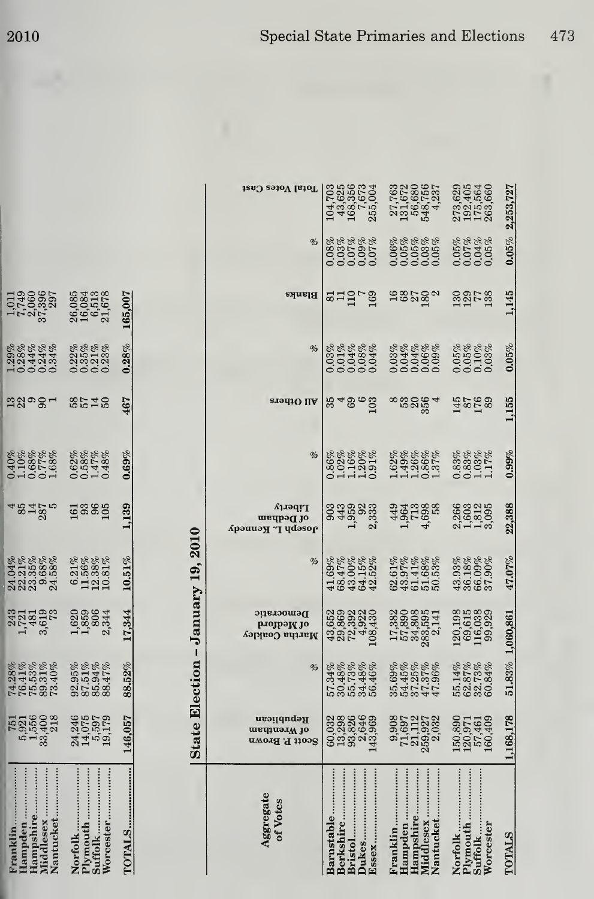| Franklin<br>Hampden<br>Hampshire<br>Middlesex.<br>Nantucket        | 751<br>5,921<br>5,556<br>5,400<br>33,428                                        | $\begin{array}{l} 74.28\% \\ 76.41\% \\ 75.53\% \\ 75.31\% \\ 99.31\% \\ 73.40\% \end{array}$ | 1723023                                                                          | $\begin{array}{l} 24.04\% \\ 24.21\% \\ 23.35\% \\ 24.58\% \\ 25.368\% \\ 24.58\% \end{array}$ | 48480                                    | 0.40%<br>0.10%<br>0.68%<br>1.68%<br>1.68%                 | 2398-                 | 128%<br>0.28%<br>0.014%<br>0.014%                                   | $1,88887$<br>$1,89888$<br>$1,79898$<br>$1,8988$<br>$1,898$         |                                                                     |                                                                                 |
|--------------------------------------------------------------------|---------------------------------------------------------------------------------|-----------------------------------------------------------------------------------------------|----------------------------------------------------------------------------------|------------------------------------------------------------------------------------------------|------------------------------------------|-----------------------------------------------------------|-----------------------|---------------------------------------------------------------------|--------------------------------------------------------------------|---------------------------------------------------------------------|---------------------------------------------------------------------------------|
| Norfolk<br>Plymouth<br>Suffolk<br>Worcester                        | 24,246<br>14,075<br>19,179<br>19,179                                            | $\begin{array}{l} 92.95\% \\ 87.51\% \\ 86.94\% \\ 88.47\% \end{array}$                       | 1,859<br>1,858<br>2,344                                                          | $\begin{array}{l} 6.21\% \\ 11.56\% \\ 12.38\% \\ 10.81\% \end{array}$                         | 23889                                    | 0.62%<br>0.58%<br>0.47%<br>0.48%                          | <b>35759</b>          | $0.22\%$<br>$0.35\%$<br>$0.21\%$<br>$0.23\%$                        | $\begin{array}{c} 26,085 \\ 16,084 \\ 6,513 \\ 61,678 \end{array}$ |                                                                     |                                                                                 |
| <b>TOTALS</b>                                                      | 146,057                                                                         | 88.52%                                                                                        | 17,344                                                                           | $10.51\%$                                                                                      | 1,139                                    | 0.69%                                                     | 467                   | 0.28%                                                               | 165,007                                                            |                                                                     |                                                                                 |
|                                                                    |                                                                                 |                                                                                               | State Election - January 19, 2010                                                |                                                                                                |                                          |                                                           |                       |                                                                     |                                                                    |                                                                     |                                                                                 |
| Aggregate<br>of Votes                                              | Republican<br>of Wrentham<br>Scott P. Brown                                     | %                                                                                             | Democratic<br>рлотрә $\mathbf H$ то<br>Martha Coakley                            | %                                                                                              | Liberty<br>of Dedham<br>Yosebµ ™ Kennedy | $\%$                                                      | All Others            | $\%$                                                                | Blanks                                                             | %                                                                   | Total Votes Cast                                                                |
| <b>Barnstable</b><br><b>Berkshire</b><br>Bristol<br>Dukes<br>Essex | $\begin{array}{c} 60.032 \\ 13.826 \\ 13.826 \\ 93.846 \\ 143.969 \end{array}$  | $\begin{array}{l} 57.34\% \\ 50.48\% \\ 30.73\% \\ 54.48\% \\ 54.46\% \end{array}$            | $\begin{array}{l} 43,652\\ 29,869\\ 72,392\\ 74,302\\ 108,430 \end{array}$       | $\begin{array}{c} 41.69\% \\ 68.47\% \\ 43.00\% \\ 64.15\% \\ 64.15\% \end{array}$             | 003300330<br>00350330<br>003503030       | 0.86%<br>0.02%<br>0.11.20%<br>0.91%                       | జా తిం <u>ద్</u><br>జ |                                                                     | angra                                                              | %%%%%%<br>%%%%%%%%<br>%%%%%%%%                                      | $\begin{array}{c} 104,703 \\ 43,625 \\ 168,356 \\ 7,673 \\ 255,004 \end{array}$ |
| Franklin<br>Hampshire<br>Middlesex<br>Nantucket<br>Hampden         | $\begin{array}{c} 71,697 \\ 21,112 \\ 259,927 \\ 2,032 \\ \end{array}$<br>9,908 | $\begin{array}{l} 35.69\% \\ 54.45\% \\ 54.25\% \\ 47.37\% \\ 47.96\% \end{array}$            | $\begin{array}{c} 17,382 \\ 57,890 \\ 54,808 \\ 283,595 \\ 2,141 \\ \end{array}$ | $\begin{array}{l} 62.61\% \\ 43.97\% \\ 61.41\% \\ 51.68\% \\ 50.53\% \end{array}$             | 1961988<br>196198<br>19708               | 162%<br>049%%<br>149%%                                    | 83254                 |                                                                     | 4828 <sub>0</sub>                                                  |                                                                     | $\begin{array}{c} 27,763\\ 131,672\\ 56,680\\ 548,756\\ 4,237 \end{array}$      |
| Plymouth<br>Worcester<br>Suffolk<br>Norfolk                        | $\begin{array}{c} 150,890 \\ 120,971 \\ 57,461 \\ 160,409 \end{array}$          | $\begin{array}{l} 55.14\% \\ 62.87\% \\ 32.73\% \\ 60.84\% \end{array}$                       | $\begin{array}{c} 120,198 \\ 69,615 \\ 116,038 \\ 99,929 \end{array}$            | $\begin{array}{l} 43.93\% \\ 36.18\% \\ 66.09\% \\ 37.90\% \end{array}$                        | 2,363<br>2,503<br>2,505<br>3,095         | $\begin{array}{l} 0.83\% \\ 0.83\% \\ 1.17\% \end{array}$ | $\frac{45}{28}$       | $\begin{array}{c} 0.05\% \\ 0.05\% \\ 0.10\% \\ 0.03\% \end{array}$ | 885g                                                               | $\begin{array}{c} 0.05\% \\ 0.07\% \\ 0.04\% \\ 0.05\% \end{array}$ | 273,629<br>192,405<br>175,564<br>263,660                                        |
| <b>TOTALS</b>                                                      | 1,168,178                                                                       |                                                                                               | 51.83% 1,060,861                                                                 | $47.07\%$                                                                                      | 22,388                                   | $0.99\%$                                                  | 1,155                 | 0.05%                                                               | 1,145                                                              | $0.05\%$                                                            | 2,253,727                                                                       |
|                                                                    |                                                                                 |                                                                                               |                                                                                  |                                                                                                |                                          |                                                           |                       |                                                                     |                                                                    |                                                                     |                                                                                 |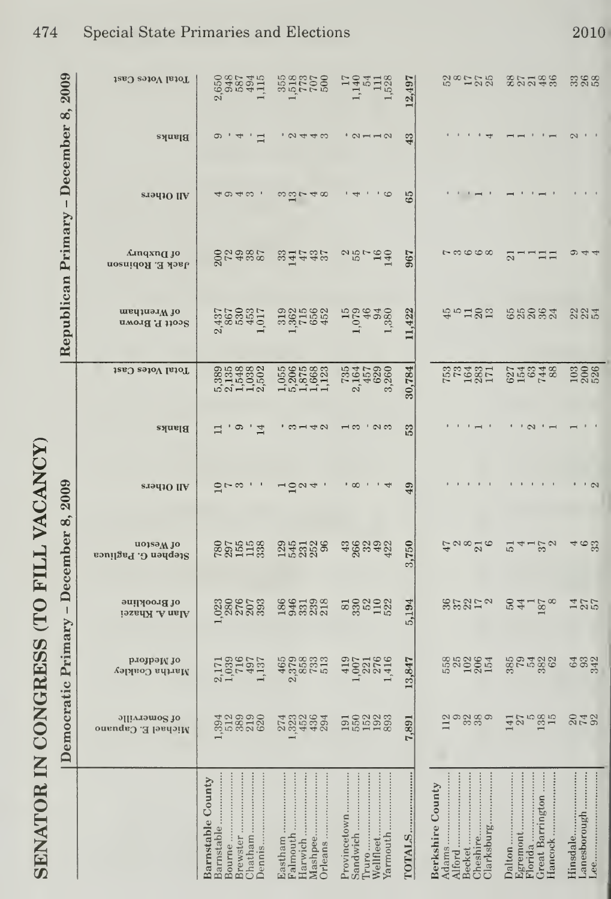| 2009                                  | Total Votes Cast                             | 658745115                                             | 352756<br>352756                                                                   | 1740<br>1405<br>1528<br>1528                                       | 12,497 | $28 - 58$                                                             | 825343                                                   | 388                      |
|---------------------------------------|----------------------------------------------|-------------------------------------------------------|------------------------------------------------------------------------------------|--------------------------------------------------------------------|--------|-----------------------------------------------------------------------|----------------------------------------------------------|--------------------------|
| December 8,                           | Blanks                                       | G<br>$\overline{\mathcal{A}}$<br>л,<br>$\Box$         | $\sqrt{2}$                                                                         | .01110                                                             | 43     |                                                                       |                                                          |                          |
| $\begin{array}{c} \hline \end{array}$ | eradio IIA                                   | 40400'                                                | $\omega\overline{\omega}$ r 400                                                    | $\cdot$ $\cdot$ $\circ$<br>$\overline{4}$                          | 65     |                                                                       |                                                          |                          |
|                                       | Amqxn∏ jo<br>Jack E. Robinson                | 874887                                                | sidades                                                                            | $25 - 29$                                                          | 967    | $\Gamma$ 00000                                                        | ----<br>$\overline{\Omega}$                              | $\omega$ 44              |
| Republican Primary                    | of Wrentham<br>Scott P. Brown                | 2,437<br>867<br>1,015<br>1,017                        | 3825652<br>387565                                                                  | 1,079<br>$\begin{array}{c} 46 \\ 34 \\ 380 \end{array}$            | 11,422 | おちはぬほ                                                                 | 68282                                                    | 2234                     |
|                                       | Total Votes Cast                             |                                                       | $\begin{array}{c} 1.055 \\ 5.206 \\ 1.466 \\ 1.11 \\ 1.1 \end{array}$              | $\begin{array}{c} 735 \\ 2,164 \\ 457 \\ 629 \\ 3,260 \end{array}$ | 30,784 | <b>1523511</b><br>152351                                              | 627<br>016748                                            | 103<br>200               |
|                                       | Blanks                                       | ာ<br>14<br>급                                          | $\sqrt{2}$                                                                         | . . ಇ ಅ<br>$\frac{1}{2}$                                           | 53     |                                                                       | $\sim$                                                   |                          |
| 2009                                  | erad10 IIA                                   | $\frac{1}{2}$ $\sim$ $\frac{1}{2}$                    | 128<br>4                                                                           | $\cdot$ $\infty$<br>$\frac{1}{4}$                                  | 49     |                                                                       |                                                          | $\cdot$ $\sim$           |
| December 8,                           | uojsa <sub>M</sub> jo<br>Stephen G. Pagliuca | <b>28511382</b><br>2851138                            | 255288                                                                             | ಇಂದಿ ಇವೆ<br>ಇಂದೇ ಕೆ                                                | 3,750  | 40820                                                                 | $4 - 32$<br>$\overline{51}$                              | 4 ಅಣ್ಣ                   |
|                                       | of Brookline<br>Alan A. Khazei               | 023057                                                | 8661382                                                                            | ggada                                                              | 5,194  | 35252                                                                 | $24 - 28$                                                | 127<br>2012              |
| mocratic Primary -                    | рлојрәју јо<br>Martha Coakley                | 2,171<br>1,0396<br>1,0397<br>1,137                    | $\begin{array}{c} 465 \\ 2378 \\ 249 \\ 136 \\ 613 \\ 733 \\ 813 \\ 9 \end{array}$ | 400216                                                             | 3,847  | 558884                                                                | 887588                                                   | 64<br>9342               |
| $\mathsf{a}$                          | of Somerville<br>Michael E. Capuano          | 312300<br>313500                                      | 222204<br>222202                                                                   | E62233                                                             | 7,891  | $\frac{1}{2}$ $\frac{3}{2}$ $\frac{3}{2}$ $\frac{3}{2}$ $\frac{3}{2}$ | 1475935                                                  | 242                      |
|                                       |                                              | Barnstable County<br>Barnstable<br>Brewster<br>Bourne | Orleans<br>Eastham<br>Falmouth<br>Harwich                                          | Sandwich<br>Provincetown<br>Wellfleet<br>Truro<br>Yarmouth         | TOTALS | Cheshire<br>Clarksburg<br><b>Berkshire County</b><br>Becket           | Egremont<br>Florida<br><b>Great Barrington</b><br>Dalton | Lanesborough<br>Hinsdale |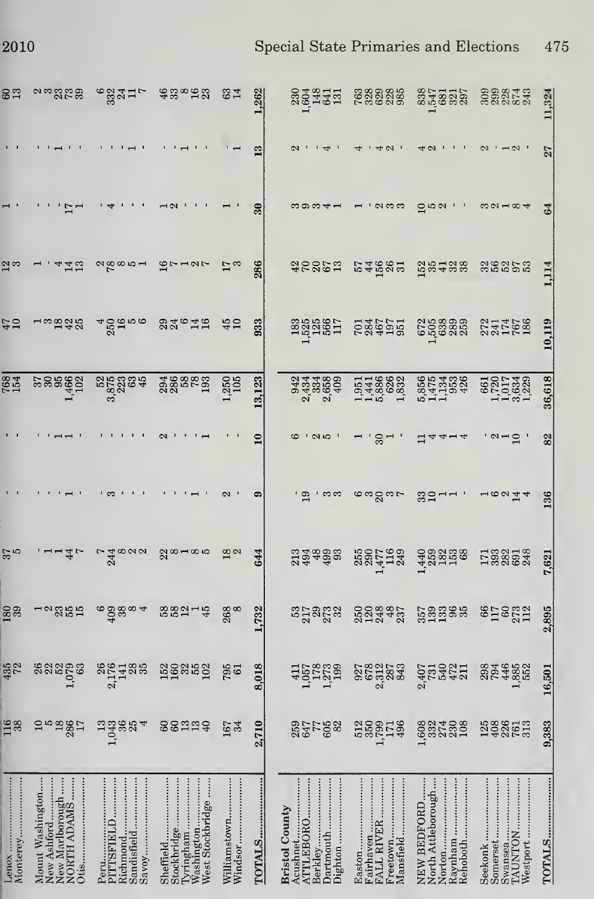| <u>ទី</u>         | ನಿ ಜನಿಯಲ್ಲಿ                                                               | $^{\circ}$ $^{34}_{32}$ $^{12}_{1}$            |                                                                         | 34                      | 262       | 88435                                                                             | <b>333335</b><br>198888                                    | 335357                                                    | 0000140<br>0000140                                                        | 1,324        |
|-------------------|---------------------------------------------------------------------------|------------------------------------------------|-------------------------------------------------------------------------|-------------------------|-----------|-----------------------------------------------------------------------------------|------------------------------------------------------------|-----------------------------------------------------------|---------------------------------------------------------------------------|--------------|
|                   |                                                                           |                                                |                                                                         |                         |           |                                                                                   |                                                            |                                                           |                                                                           | $\mathbb{Z}$ |
|                   |                                                                           |                                                |                                                                         |                         |           | ∞ာ∞∾+−                                                                            |                                                            |                                                           |                                                                           |              |
| <u>చ</u> చి       |                                                                           | $\alpha_{\rm p}^{\rm q}$ $\alpha_{\rm p}$      | $\frac{1}{2}$ $\frac{1}{2}$                                             |                         | 286       | 22252                                                                             | 54585                                                      | 526428                                                    | និងទីខ្លួន                                                                |              |
| $\frac{47}{10}$   | 10848                                                                     | 409000                                         | <b>226750</b>                                                           | 45                      | 933       | $\frac{33382}{2520}$                                                              | <b>Säässe</b>                                              | 658888                                                    | $274768$<br>$24768$                                                       | 10,119       |
| <b>768</b><br>154 |                                                                           | <b>222384</b><br>22384                         | <b>agger</b><br>28682                                                   | 1,250<br>105            | 3,123     | 3333899<br>233899<br>23399                                                        | 1,951<br>1,441<br>5,886<br>1,832<br>1,832                  | 5,855<br>5,475,936<br>5,475,948                           | $\begin{array}{c} 661 \\ 1,720 \\ 1,017 \\ 3,634 \\ 1,229 \\ \end{array}$ | 36,618       |
|                   |                                                                           |                                                |                                                                         |                         |           | ດ ທ                                                                               | $30 - 1$                                                   | 144                                                       | $2 - 2$                                                                   | 82           |
|                   |                                                                           |                                                |                                                                         |                         |           |                                                                                   | guo du po                                                  | <u>ஐ</u> ㅋㅋ '                                             | 16214                                                                     | 136          |
| $\frac{25}{6}$    | $1 - 45$                                                                  | $\frac{540000}{54000}$                         | $28 - 85$                                                               |                         |           | na a a a a<br>Ha a a a                                                            | 550 575<br>500 5750<br>500 5750                            | $1.48888$ $1.388004$<br>$1.4888$ $1.588004$<br>$1.588004$ |                                                                           | 7,621        |
| 180               | $-28.54$                                                                  | $69880 +$                                      | 58214                                                                   | 268                     | 732       | និងនឹង                                                                            | 88887<br>888887                                            | tong<br>Sangga                                            | $6522$<br>$-502$<br>$-12$                                                 | 2,895        |
| 435<br>72         | sangg<br>Sangg                                                            | $2,17488$<br>$2,17488$                         | 55355                                                                   | 795                     | .018      | $1,057$<br>$1,273$<br>$1,239$                                                     | 0278783<br>028783<br>02888                                 | $2,407$<br>$731$<br>$540$<br>$472$<br>$211$               | 8846852                                                                   | 16,501       |
| 116               |                                                                           | Jesse udsea. 88uud                             |                                                                         | 167<br>34               | 710<br>۵ï | 837588<br>83758                                                                   | <b>2288138</b>                                             | 882788<br>I                                               | 198613<br>198613                                                          | 383<br>ಧ     |
| Monterey          | New Marlborough<br>NORTH ADAMS<br>Mount Washington<br>0tis<br>New Ashford | Sandisfield<br>Richmond<br>PITTSFIELD<br>Savoy | West Stockbridge<br>Washington<br>Tyringham<br>Sheffield<br>Stockbridge | Williamstown<br>Windsor | TOTALS    | ATTLEBORO<br>Berkley<br>Dartmouth<br>Dighton<br>Acushnet<br><b>Bristol County</b> | Mansfield<br>Fairhaven<br>Freetown<br>FALL RIVER<br>Easton | Rehoboth<br>North Attleborough<br>Norton<br>NEW BEDFORD.  | TAUNTON<br>Westport<br>Somerset<br>Swansea<br>Seekonk                     | TOTALS       |

2010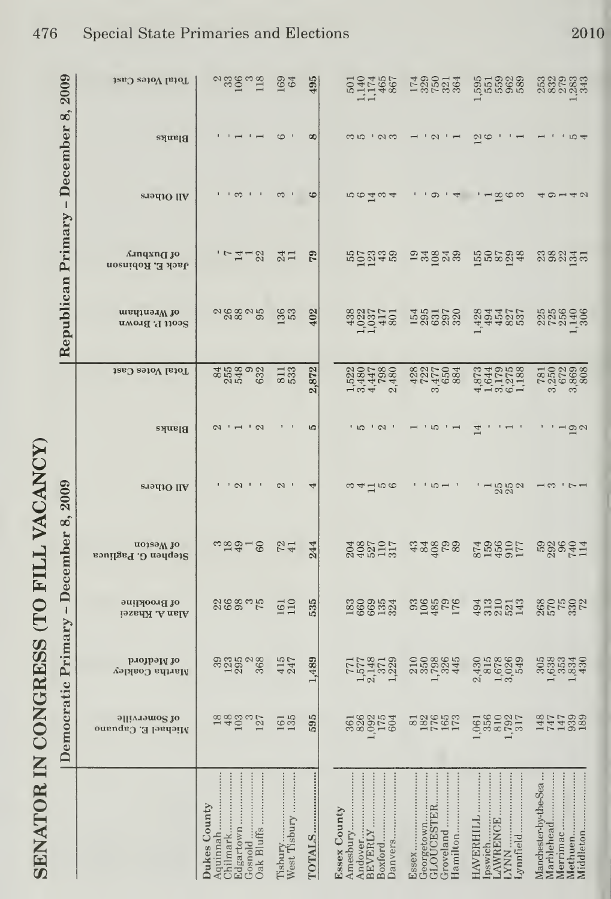| <b>FAIR AFF HEEL</b>          |
|-------------------------------|
| ֚֚֚֚֚֚֚֚֡֡֡֡֡֡֡֡֡             |
| <b>CEL CODELECTACIÓN PARA</b> |
| トイト・ドロ                        |

| 2009                                                 | Total Votes Cast<br>Blanks         | anggan<br>L                                                  | 169<br>64               | 495<br>8  | 501<br>$77467$<br>$465$<br>$\omega$ ro $\sim$ $\sim$                               | 120014<br>$\cdot$ $\circ$                             | 555988<br>555688<br>ωì<br>$\circ$                                                                                                                                                                                                                                                                                                                                                                                                                                                                                 | ದ ನದಿ ನದಿ<br>ದ ನದ ನದಿ ಕ<br>ದ ನದ ನದ  |
|------------------------------------------------------|------------------------------------|--------------------------------------------------------------|-------------------------|-----------|------------------------------------------------------------------------------------|-------------------------------------------------------|-------------------------------------------------------------------------------------------------------------------------------------------------------------------------------------------------------------------------------------------------------------------------------------------------------------------------------------------------------------------------------------------------------------------------------------------------------------------------------------------------------------------|-------------------------------------|
| December 8,<br>$\begin{array}{c} \hline \end{array}$ | <b>STOLIO</b> IIA                  |                                                              | ಣ                       | అ         | 100 T m 4                                                                          | ာ<br>$\overline{4}$                                   | $-\underline{\infty}$ $\infty$ $\infty$                                                                                                                                                                                                                                                                                                                                                                                                                                                                           | すり142                               |
|                                                      | Anqxng jo<br>Jack E. Robinson      | $1 - 7 - 2$                                                  | $\frac{4}{11}$          | 52        | records<br>Records                                                                 | 23878                                                 | 52234                                                                                                                                                                                                                                                                                                                                                                                                                                                                                                             | asanan                              |
| Republican Primary                                   | of Wrentham<br>Scott P. Brown      | 288095                                                       | <b>136</b>              | 402       |                                                                                    | 585228                                                | 4448525744857                                                                                                                                                                                                                                                                                                                                                                                                                                                                                                     | 256998                              |
|                                                      | Total Votes Cast                   | 3539923                                                      | 811                     | 872<br>ςi | 15207880<br>15447880<br>15447880                                                   | $7228\n3477\n3684\n884$                               | $4.874$<br>$4.975$<br>$4.728$<br>$4.305$<br>$4.308$                                                                                                                                                                                                                                                                                                                                                                                                                                                               | 78502388                            |
|                                                      | Blanks                             | $\sim$                                                       |                         | <b>LQ</b> | ் ம<br>$\sqrt{2}$                                                                  | LO                                                    |                                                                                                                                                                                                                                                                                                                                                                                                                                                                                                                   |                                     |
| 2009                                                 | and Others                         | , c1<br>$\mathbf{1}$                                         | $\mathcal{C}$           |           | $\omega$ 4 $\equiv$ 10 $\infty$                                                    | $n - 1$                                               | 1500                                                                                                                                                                                                                                                                                                                                                                                                                                                                                                              | ⊣ ಌ                                 |
| December 8,                                          | notessW to<br>Stephen G. Pagliuca  | $34 - 8$                                                     | 724                     | 244       | 204<br>4027<br>527<br>517<br>317                                                   | agges<br>dage                                         | 874<br>1596<br>177                                                                                                                                                                                                                                                                                                                                                                                                                                                                                                | ngagan<br>Rang                      |
| $\mathbf{I}$                                         | of Brookline<br>Alan A. Khazei     | nggang                                                       | 161                     | 535       | 1300054                                                                            | 3298PH                                                | $\begin{smallmatrix} 4 & 3 & 0 & 0 \\ 9 & 7 & 1 & 0 \\ 0 & 1 & 0 & 0 \\ 0 & 0 & 1 & 0 \\ 0 & 0 & 0 & 1 \end{smallmatrix}$                                                                                                                                                                                                                                                                                                                                                                                         | 262522                              |
| mocratic Primary                                     | рлојрају јо<br>Martha Coakley      | 333008                                                       | 415<br>247              | 489       | $\begin{array}{c} 771 \\ 1.577 \\ 2.148 \\ 371 \\ 1.229 \end{array}$               | 2292645                                               | 24302849<br>267826<br>267849                                                                                                                                                                                                                                                                                                                                                                                                                                                                                      |                                     |
| $\mathbf{p}_e$                                       | offiveryille<br>Michael E. Capuano | 1883 nr                                                      | 161                     | 595       | 383853<br>38955                                                                    | 825552                                                | 061<br>356<br>3502<br>317<br>317                                                                                                                                                                                                                                                                                                                                                                                                                                                                                  | 8817598<br>147599<br>14759          |
|                                                      |                                    | Dukes County<br>Aquinnah<br>Gosnold<br>Edgartown<br>Chilmark | West Tisbury<br>Tisbury | TOTALS    | <b>Essex County</b><br>Amesbury<br>Boxford<br>Danvers<br>Andover<br><b>BEVERLY</b> | <b>GLOUCESTER</b><br>Groveland<br>Georgetown<br>Essex | $\begin{minipage}{0.5\textwidth} \centering \begin{tabular}{ c c c } \hline \multicolumn{1}{ c }{\textbf{M}} & \multicolumn{1}{ c }{\textbf{M}} & \multicolumn{1}{ c }{\textbf{M}} & \multicolumn{1}{ c }{\textbf{M}} & \multicolumn{1}{ c }{\textbf{M}} & \multicolumn{1}{ c }{\textbf{M}} & \multicolumn{1}{ c }{\textbf{M}} & \multicolumn{1}{ c }{\textbf{M}} & \multicolumn{1}{ c }{\textbf{M}} & \multicolumn{1}{ c }{\textbf{M}} & \multicolumn{1$<br><b>HAVERHILL</b><br>LAWRENCE<br>ipswich<br>Lynnfield | Manchester-by-the-Sea<br>Marblehead |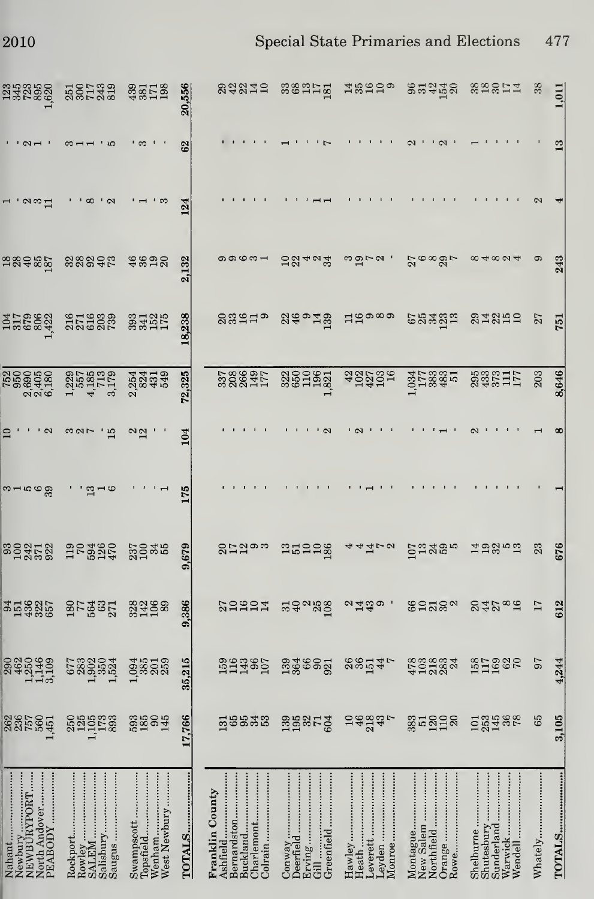|  | Special State Primaries and Elections | 477 |
|--|---------------------------------------|-----|
|  |                                       |     |

| 1,01       |    |         | 243                            | 751                     | 8,646                                    |                |           | 676                | 612                        | 4,244                              | 3,105                   | TOTALS                                                                          |
|------------|----|---------|--------------------------------|-------------------------|------------------------------------------|----------------|-----------|--------------------|----------------------------|------------------------------------|-------------------------|---------------------------------------------------------------------------------|
|            |    |         | 0                              | $\overline{27}$         | 203                                      |                |           | 23                 | 17                         | 67                                 | 65                      | Whately                                                                         |
| sasti      |    |         | $\infty$ 4 $\infty$ $\infty$ 4 | 21252                   | <b>23321171</b>                          |                |           | <b>Hagra</b>       | 24288                      | 31988                              | <b>EERE</b> 88          | Sunderland<br>Shutesbury<br>Wendell<br>Shelburne<br>Warwick                     |
| 22278      |    |         | $^{5}$ $^{6}$ $^{8}$ $^{10}$   | 68323                   | 1,033<br>1778<br>483<br>17               |                |           | <b>Sugge</b>       | 8222 <sub>8</sub>          | 4708324                            | 231228                  | Rowe<br>Montague<br>New Salem<br>Orange<br>Northfield                           |
| ದೆ ಜಿದ್ದರೂ |    |         | ຕ ຕ $\sim$ .                   | 15000                   | 432700                                   |                |           | 44472              | വ്ഷ്യം ,                   | 8854                               | 54894                   | Leyden<br>Leverett<br>Monroe<br>Hawley                                          |
| segnag     |    |         | 28404                          | $249$ n $\frac{49}{12}$ | $\frac{22}{360}$                         |                |           | araag              | 349880                     | <b>উন্ন</b> ন্ধ্ৰুট উপ্লুঞ্জ প্ৰ   |                         | Deerfield<br>Greenfield<br>Brving … … … …<br>Conway                             |
| នទូនងដូន   |    |         | 0000m-                         | gagna                   | 3288917<br>328871                        |                |           | 8529 <sub>00</sub> | 20202                      |                                    | E8838 BB852             | Bernardston<br>Buckland<br>Charlemont<br>Colrain<br>Franklin County<br>Ashfield |
| 20,556     | 62 | 124     | 2,132                          | 18,238                  | 72,325                                   | 104            | 175       | 679<br>တံ          | ,386<br>ය                  | 35,215                             | 17,766                  | TOTALS                                                                          |
| ashus      |    |         | ន័ಜವಲ                          | 33455                   | 233838                                   | $\frac{2}{12}$ |           | 25248              | 28458                      | $1,094$<br>$385$<br>$259$<br>$259$ | 33984                   | Wenham<br>Swampscott<br>West Newbury<br>Topsfield                               |
| 5001335    |    |         | 28295                          | <b>ELECCE</b><br>22222  | $1,229$<br>$4,713$<br>$4,713$<br>$3,179$ | ់ង<br>∞∾⊳      |           | 128845             | <b>BOL 3631</b><br>2756321 | 523004<br>53005324<br>53005        | <b>225523</b><br>225523 | Saugus<br>Rowley                                                                |
| 338888     |    | 2<br>ವಿ | 58485                          | <b>JP2883</b>           | 1500500<br>0000000<br>0000000            |                | $39 - 59$ |                    | 25385                      |                                    | 88585                   | Nahant<br>PEABODY<br>North Andover                                              |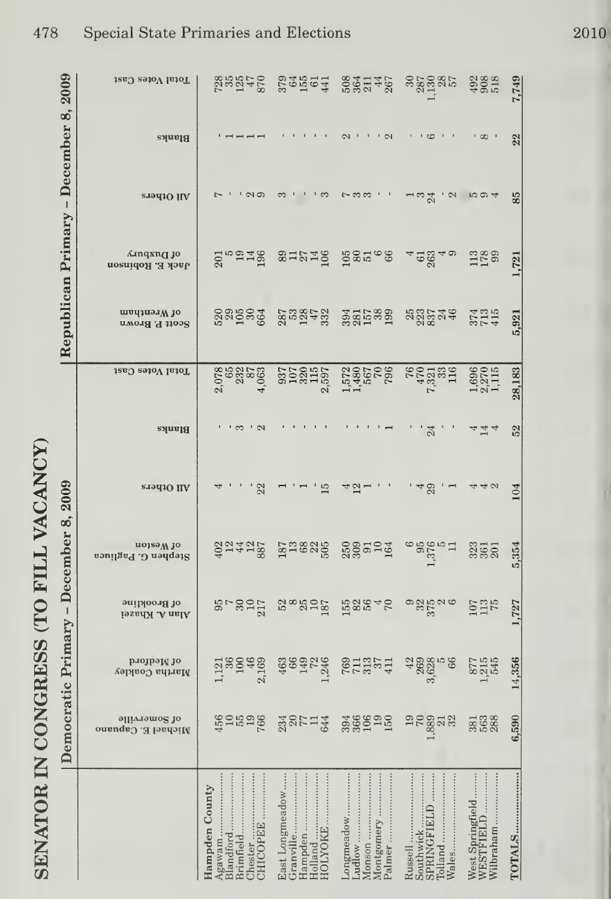| 2009                       | Total Votes Cast                           | <b>Septed</b><br>Septed                                                   | 235964                                                                   | 5031457                                                        |                                                                  | $\begin{array}{c}\n 300 \\  \hline\n 300 \\  \hline\n 50\n \end{array}$ | 7,749  |
|----------------------------|--------------------------------------------|---------------------------------------------------------------------------|--------------------------------------------------------------------------|----------------------------------------------------------------|------------------------------------------------------------------|-------------------------------------------------------------------------|--------|
| ထံ<br>December             | <b>Blanks</b>                              |                                                                           |                                                                          | $Q_1 + 1 + Q_2$                                                | $\cdot$ . $\circ$                                                | $\frac{1}{2}$ 00 $\frac{1}{2}$                                          | 22     |
| $\mathsf I$                | and Others                                 | ' လတ                                                                      | 'က                                                                       | $\sim$ $\infty$                                                | ⊣ ಌ ಸ                                                            | 'N rout                                                                 | 85     |
| Primary                    | £unqxn∏ jo<br>Jack E. Robinson             | 20248                                                                     |                                                                          | surig dere                                                     | 40040                                                            | $113$ 099                                                               | 1,721  |
| Republican                 | of Wrentham<br>Scott P. Brown              | <b>23525</b>                                                              | <b>2872523</b><br>282523                                                 | 381538                                                         | 88534                                                            | 3745<br>274                                                             | 5,921  |
|                            | Total Votes Cast                           | 2,078<br>2,882<br>2,083<br>4,                                             | $\begin{array}{r} 337 \\ 307 \\ 107 \\ 320 \\ 115 \\ 239 \\ \end{array}$ | $\begin{array}{c} 1.572 \\ 1.480 \\ 567 \\ 796 \\ \end{array}$ | $\begin{array}{c} 76 \\ 732 \\ 133 \\ 139 \\ \end{array}$        | $\frac{1,696}{2,270}$                                                   | 28,183 |
|                            | <b>Blanks</b>                              | $\sim$<br>. თ                                                             |                                                                          |                                                                | $^{24}$                                                          | 444                                                                     | 52     |
| 2009                       | <b>STALLO</b> IIA                          | 22                                                                        | 15                                                                       | 4ನ.                                                            | 148                                                              | 42                                                                      | 104    |
| December 8,                | noiseW io<br>Stephen G. Pagliuca           | 32428                                                                     | <b>218825</b>                                                            | <b>2225124</b>                                                 | $\frac{1}{2}$<br>$\frac{3}{2}$<br>$\frac{5}{2}$<br>$\frac{1}{2}$ | 323<br>361<br>201                                                       | 5,354  |
| $\mathbf{I}$               | of Brookline<br>Alan A. Khazei             | $25 - 25$                                                                 | 58825                                                                    | 158642                                                         | a zina e                                                         | 107<br>113<br>175                                                       | 1,727  |
| Primary                    | рлојрэју јо<br>Martha Coakley              | $1,36$<br>$1,36$<br>$-469$<br>$-2,169$                                    | 463<br>147<br>1,246<br>1,246                                             | <b>5011324</b> 300260<br>101254 300260                         |                                                                  | 8715<br>8155                                                            | 14,356 |
| mocratic<br>$\mathbf{p}_e$ | <b>9llivannog</b> 10<br>Michael E. Capuano | 450,000                                                                   |                                                                          | 3360150<br>3360150                                             | agaas                                                            | 383<br>563<br>288                                                       | 6,590  |
|                            |                                            | CHICOPEE<br>Hampden County<br>Chester<br>Agawam<br>Blandford<br>Brimfield | Holland<br>Hampden<br>HOLYOKE                                            | Longmeadow<br>Monson<br>Montgomery<br>Ludlow<br>Palmer         | SPRINGFIELD<br>Russell<br>Southwick                              | West Springfield<br>WESTFIELD<br>Wilbraham                              |        |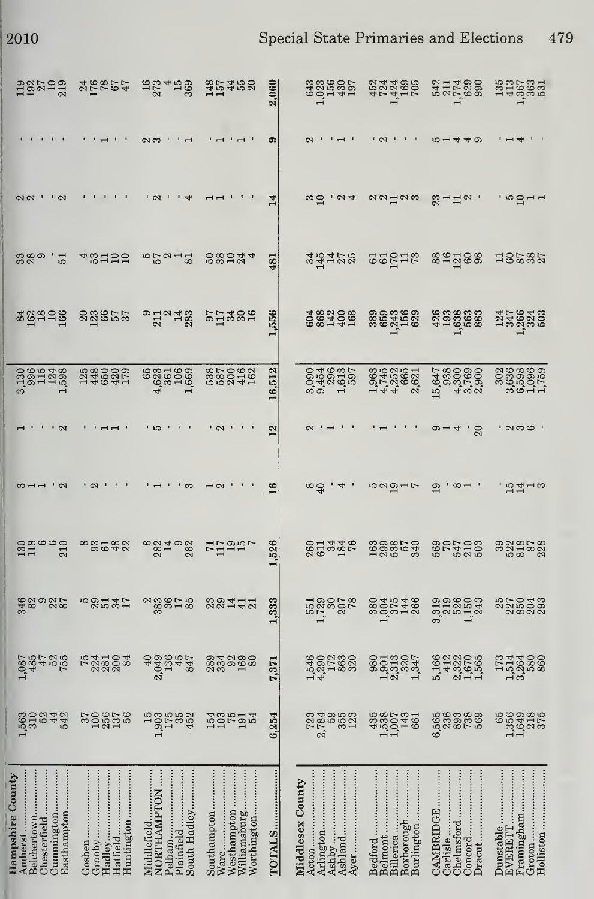$\,2010\,$ 

Special State Primaries and Elections 479

|                  | 198798                                                              | 25627                                                                                                                                                                                                                                                                                                                                                          | $\frac{967449}{27}$                                                                                                                                     | 35408                                                     | 2,060   | 335351                               | 453365<br>454365                                            | 37788                                           | 114 võe 12                                      |
|------------------|---------------------------------------------------------------------|----------------------------------------------------------------------------------------------------------------------------------------------------------------------------------------------------------------------------------------------------------------------------------------------------------------------------------------------------------------|---------------------------------------------------------------------------------------------------------------------------------------------------------|-----------------------------------------------------------|---------|--------------------------------------|-------------------------------------------------------------|-------------------------------------------------|-------------------------------------------------|
|                  |                                                                     |                                                                                                                                                                                                                                                                                                                                                                |                                                                                                                                                         |                                                           |         |                                      |                                                             | 10-1440                                         |                                                 |
|                  |                                                                     |                                                                                                                                                                                                                                                                                                                                                                |                                                                                                                                                         |                                                           |         |                                      | aadaw                                                       | $\mathbb{S}$ $\sqcap$ $\sqcap$ $\cong$ $\lceil$ |                                                 |
|                  | 389<br>389<br>51                                                    | 48755                                                                                                                                                                                                                                                                                                                                                          | $n25u - 8$                                                                                                                                              | 58244                                                     | 481     | 34128                                | <b>22512</b>                                                | 841288                                          | 18232                                           |
|                  | 882226                                                              | 889655                                                                                                                                                                                                                                                                                                                                                         | $\degree$ $\Xi$ $\degree$ $\Xi$ $\degree$ $\Xi$ $\degree$ $\degree$ $\Xi$ $\degree$ $\degree$ $\Xi$ $\degree$ $\degree$ $\Xi$ $\degree$ $\degree$ $\Xi$ |                                                           | 556     | 283388                               | 8883588<br>888358                                           | 43688888                                        | 222022                                          |
|                  | assaras agasar                                                      |                                                                                                                                                                                                                                                                                                                                                                | $4,6234,6231,6631,663$                                                                                                                                  | 385093                                                    | 16,512  | 090489575<br>0.45055<br>0.91556      | 144 252<br>144 2621<br>144 26                               |                                                 | 303888<br>303888<br>305058<br>50507             |
|                  |                                                                     |                                                                                                                                                                                                                                                                                                                                                                |                                                                                                                                                         | ' U                                                       | 12      |                                      |                                                             | $\frac{1}{20}$<br>$\circ$ $\dashv$              | ' လက္ပ္ထာ                                       |
|                  |                                                                     |                                                                                                                                                                                                                                                                                                                                                                |                                                                                                                                                         |                                                           | 16      |                                      | ro vidi L                                                   | $\infty$ $-1$                                   |                                                 |
|                  | $\frac{288660}{21}$                                                 | $^{\circ}$ $^{\circ}$ $^{\circ}$ $^{\circ}$ $^{\circ}$ $^{\circ}$ $^{\circ}$ $^{\circ}$ $^{\circ}$ $^{\circ}$ $^{\circ}$ $^{\circ}$ $^{\circ}$ $^{\circ}$ $^{\circ}$ $^{\circ}$ $^{\circ}$ $^{\circ}$ $^{\circ}$ $^{\circ}$ $^{\circ}$ $^{\circ}$ $^{\circ}$ $^{\circ}$ $^{\circ}$ $^{\circ}$ $^{\circ}$ $^{\circ}$ $^{\circ}$ $^{\circ}$ $^{\circ}$ $^{\circ$ | $\frac{83}{2}$ $\frac{83}{2}$ $\frac{83}{2}$ $\frac{15}{2}$ $\frac{19}{2}$                                                                              |                                                           | 526     | 87448                                | 1633553                                                     | <b>8001108</b> 88888888                         |                                                 |
|                  | ಕ್ಷಿಇಂಜನ                                                            | ngnaz                                                                                                                                                                                                                                                                                                                                                          | $\begin{array}{c}\n 3.3828 \\  \hline\n 2.388\n \end{array}$                                                                                            | 331772                                                    | 333     | <b>1588</b><br>1788<br>1788          | 80055488                                                    | 3386033<br>3386133                              |                                                 |
|                  | <b>687</b><br>0887<br>087<br>087<br>188                             | <b>E3322</b>                                                                                                                                                                                                                                                                                                                                                   | $3,049$<br>$3,049$<br>$3,049$<br>$3,040$                                                                                                                | ಜ್ಞಿ ಜೊತ್ತಿ                                               | .371    | 1530<br>1987<br>1988<br>1988         | $3013047$<br>$13001347$<br>$130017$<br>$150017$             | 5,166<br>5,332<br>5,332<br>5,565<br>1,565       | nada<br>153688<br>13368                         |
|                  | 6000400<br>600400<br>600                                            | <b>2000</b><br>2001 - 2011                                                                                                                                                                                                                                                                                                                                     | 1985288                                                                                                                                                 | 23522                                                     | 254     | 285523                               | 4580735                                                     | 5683888                                         | 659385                                          |
| Hampshire County | Easthampton<br>Cummington<br>Chesterfield<br>Amherst<br>Belchertown | Hadley<br>Huntington<br>Goshen                                                                                                                                                                                                                                                                                                                                 | Plainfield<br>Middlefield<br>NORTHAMPTON<br>South Hadley<br>Pelham                                                                                      | Westhampton<br>Southampton<br>Worthington<br>Williamsburg | TOTALS. | Ashland<br>Acton<br>Middlesex County | Boxborough<br>Belmont<br>Billerica<br>Burlington<br>Bedford | Concord<br>Chelmsford<br>CAMBRIDGE              | Holliston<br>Framingham<br>EVERETT<br>Dunstable |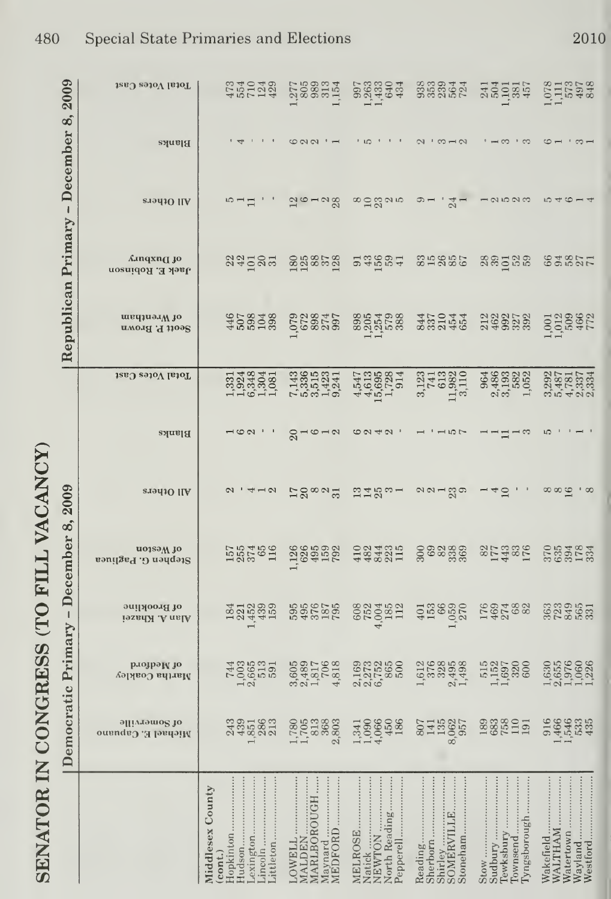|                   | 2009                             | Total Votes Cast                            | $75729$<br>$75729$                                                                                                                                                                                                               | 20000154                                                               | 997<br>9833<br>982<br>6434                      |                                                                                                                 | 33035                                                              | <b><i><u>CHECAS</u></i></b>                                          |
|-------------------|----------------------------------|---------------------------------------------|----------------------------------------------------------------------------------------------------------------------------------------------------------------------------------------------------------------------------------|------------------------------------------------------------------------|-------------------------------------------------|-----------------------------------------------------------------------------------------------------------------|--------------------------------------------------------------------|----------------------------------------------------------------------|
|                   |                                  | Blanks                                      | $\overline{\mathcal{A}}$                                                                                                                                                                                                         | 00011                                                                  | י י י מו י                                      | $2.52 - 2.52$                                                                                                   | $\cdot$ – $\infty$ $\cdot$ $\infty$                                | $\circ$ – $\circ$ – $\circ$                                          |
|                   |                                  | eradio IIA                                  | $5 - 1$                                                                                                                                                                                                                          | $20 - 28$                                                              | $\infty$ $\simeq$ $\infty$ $\infty$             | $\circ$ $-$<br>$\frac{4}{21}$                                                                                   | 12523                                                              | $1040 - 4$                                                           |
|                   |                                  | Anqxn(J jo<br>Jack E. Robinson              | 33282                                                                                                                                                                                                                            | 88858                                                                  | a di de di                                      | 39857                                                                                                           | sadas                                                              | 622217                                                               |
|                   | Republican Primary - December 8, | nenthanW 10<br>Seott P. Brown               | 458288                                                                                                                                                                                                                           | 008875                                                                 | 88540.88<br>88540.88                            | 4504468888                                                                                                      | 149272202020                                                       | 1,001<br>1,012<br>1,008<br>172<br>172                                |
|                   |                                  | Total Votes Cast                            | 13348251<br>19348251                                                                                                                                                                                                             | 743612341<br>733612341<br>75361241                                     | 4409884<br>44098814<br>4401                     | $\begin{matrix} 3.123 \\ 741 \\ 638 \\ 113 \\ 3.11 \\ \end{matrix}$                                             |                                                                    | 002<br>002027<br>00202020<br>00202020                                |
|                   |                                  | Blanks                                      | $\overline{\phantom{0}}$ $\overline{\phantom{0}}$ $\overline{\phantom{0}}$ $\overline{\phantom{0}}$ $\overline{\phantom{0}}$ $\overline{\phantom{0}}$ $\overline{\phantom{0}}$ $\overline{\phantom{0}}$ $\overline{\phantom{0}}$ | $8 - 6 - 8$                                                            | 0.491                                           | $1 - 10$                                                                                                        | $-11 - 3$                                                          | LO                                                                   |
| VACANCY           | 2009                             | eradiO IIA                                  | $\overline{2}$<br>N                                                                                                                                                                                                              | $58^{\circ}$ $\%$                                                      | $3180 -$                                        | $\alpha \alpha - \alpha \sigma$                                                                                 | $\supseteq$<br>$\overline{\mathcal{A}}$                            | ∞∞ ∞                                                                 |
| FILL              | December 8,                      | noissw <sub>10</sub><br>Stephen G. Pagliuea | 155761<br>185761                                                                                                                                                                                                                 | 1888<br>1895<br>1895<br>1892                                           | 13343115<br>19343115                            | 20.8888                                                                                                         | 821332<br>011332                                                   |                                                                      |
| <b>OT</b>         | $\mathsf I$                      | of Brookline<br>Alan A. Khazei              | <b>SHR399</b><br>234455                                                                                                                                                                                                          |                                                                        | <b>SEPRET</b>                                   | $\frac{1}{2}$ $\frac{1}{2}$ $\frac{1}{2}$ $\frac{1}{2}$ $\frac{1}{2}$ $\frac{1}{2}$ $\frac{1}{2}$ $\frac{1}{2}$ | 140288                                                             | 3839553                                                              |
| CONGRESS          |                                  | рлојрају јо<br>Martha Coakley               | 743<br>1965<br>1965<br>1991                                                                                                                                                                                                      | 3,605<br>0,4817<br>0,706<br>4,818                                      | 169<br>1273<br>2273<br>200                      | $1.008888$ $0.708888$ $0.744$ $0.744$                                                                           | $\begin{array}{r} 515 \\ 1.152 \\ 1.697 \\ 320 \\ 600 \end{array}$ | $\begin{array}{c} 1.630 \\ 2.6576 \\ 2.1060 \\ 1.111 \\ \end{array}$ |
|                   | Democratic Primary               | offiveness to<br>Michael E. Capuano         | 2301823                                                                                                                                                                                                                          | <b>ECRES</b><br>2003<br>2003                                           | uo 0 4 7<br>4 9 0 6 7 8 0                       | <b>SHERS</b>                                                                                                    | 3388191                                                            |                                                                      |
| <b>SENATOR IN</b> |                                  |                                             | Middlesex County<br>Lexington<br>Lincoln<br>Hopkinton<br>Hudson<br>$_{\rm (cont.)}$                                                                                                                                              | <br>$\vdots$<br>MARLBOROUGH<br>Maynard<br>MEDFORD.<br>MALDEN<br>LOWELL | North Reading<br>MELROSE<br>NEWTON<br>Pepperell | Reading                                                                                                         | Tyngsborough<br>Townsend<br><br>Sudbury<br>Tewksbury<br>Stow       | Westford<br>Wayland<br>Wakefield<br>Watertown<br>WALTHAM             |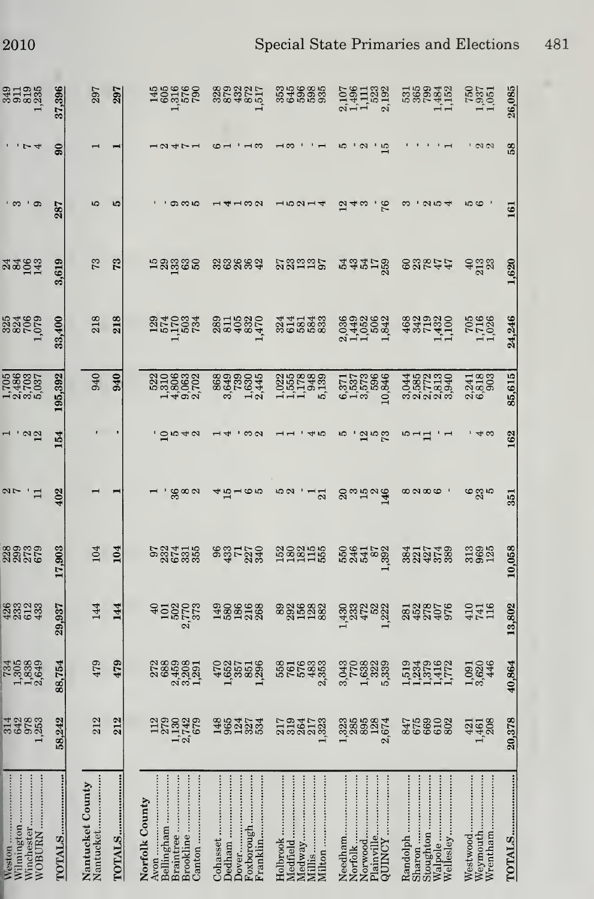| 31035                                        | 37,396          | 297                           | 297    | 489562                                                                   | 3292217                                                     | 349835<br>349335                  |                                                                                                                                                                                                                                                                                                                      | 55693452<br>55693452<br>111                             | $\begin{array}{c} 750 \\ 1.937 \\ 1.051 \end{array}$ | 26,085           |
|----------------------------------------------|-----------------|-------------------------------|--------|--------------------------------------------------------------------------|-------------------------------------------------------------|-----------------------------------|----------------------------------------------------------------------------------------------------------------------------------------------------------------------------------------------------------------------------------------------------------------------------------------------------------------------|---------------------------------------------------------|------------------------------------------------------|------------------|
|                                              | $\overline{90}$ |                               |        |                                                                          |                                                             |                                   |                                                                                                                                                                                                                                                                                                                      |                                                         |                                                      | 58               |
|                                              | 287             |                               |        | ග ෆ ෆ                                                                    |                                                             |                                   | 76                                                                                                                                                                                                                                                                                                                   |                                                         |                                                      | $\overline{161}$ |
| 33933                                        | 3.619           | 73                            | ಌ      | <u>កន្លួន និ</u>                                                         | 33883                                                       | nggap<br>2011                     | nanting<br>2010                                                                                                                                                                                                                                                                                                      | 83244                                                   | 933<br>433                                           | 1,620            |
| 333<br>832<br>1,079                          | 33,400          | 218                           | 218    | 5215284<br>525284                                                        | 28115220                                                    | 314233                            | 21102023<br>01102023<br>2110202                                                                                                                                                                                                                                                                                      |                                                         | $\begin{array}{c} 705 \\ 1,716 \\ 1,026 \end{array}$ | 24,246           |
| 1,705<br>2,486<br>5,7037<br>5,037            | 195.392         | 940                           | 940    | 520632<br>520632<br>54002                                                | 8838054<br>8855834<br>8. 12                                 | 1552888<br>1551383<br>11138       | $\begin{array}{c} 6.371 \\ 1.537 \\ 3.573 \\ 10.846 \end{array}$                                                                                                                                                                                                                                                     | 480230<br>065509<br>066600                              | 2,241<br>6,818<br>6,903                              | 85,615           |
|                                              | 54              |                               |        | 40                                                                       |                                                             |                                   | ದ ಎಟ                                                                                                                                                                                                                                                                                                                 |                                                         |                                                      | 162              |
|                                              | 402             |                               |        | န္က စ လ                                                                  | ဖေဖ                                                         | 10 လ<br>$\overline{21}$           | $\Omega$<br>$\frac{38}{140}$                                                                                                                                                                                                                                                                                         | $\infty \infty \infty$                                  | စ္ကေန                                                | 351              |
| 88982<br>8888                                | 903<br>17.      | 104                           | 104    | 521455<br>535555                                                         | <b>sarga</b>                                                | 588355                            | <b>234523</b>                                                                                                                                                                                                                                                                                                        |                                                         | 3385                                                 | 10,058           |
| 42223                                        | 29,937          | 144                           | 144    |                                                                          | 188858                                                      | <b>888888</b>                     | 13382333<br>2345<br>2345                                                                                                                                                                                                                                                                                             | 8528556                                                 | $110$<br>$110$                                       | 13,802           |
| 730339<br>13039<br>1103                      | 88,754          | 479                           | 479    | 23898251<br>23988251<br>2398251                                          | $\frac{470}{1,657}$<br>$\frac{537}{350}$<br>$\frac{1}{296}$ | 558<br>761<br>576<br>2353<br>2353 |                                                                                                                                                                                                                                                                                                                      | 11334172                                                | 1,091<br>3,620<br>446                                | 40,864           |
| F1383<br>$\overline{ }$                      | 242<br>58,      | 212                           | 212    | 18838<br>$\rightarrow \infty$                                            | 38333                                                       | nagus<br>Englis<br>--             | $\begin{matrix} 1.338888 \\ -0.388981 \\ -0.0000 \\ 0.0000 \\ -0.0000 \\ -0.0000 \\ -0.0000 \\ -0.0000 \\ -0.0000 \\ -0.0000 \\ -0.0000 \\ -0.0000 \\ -0.0000 \\ -0.0000 \\ -0.0000 \\ -0.0000 \\ -0.0000 \\ -0.0000 \\ -0.0000 \\ -0.0000 \\ -0.0000 \\ -0.0000 \\ -0.0000 \\ -0.0000 \\ -0.0000 \\ -0.0000 \\ -0.$ | 358828                                                  | 421<br>461<br>208                                    | 20,378           |
| Weston<br>Winchester<br>Wilmington<br>WOBURN |                 | Nantucket County<br>Nantucket | TOTALS | Brookline<br>Canton<br>Braintree<br>Bellingham<br>Norfolk County<br>Avon | Dover<br>Cohasset<br>Dedham<br>Foxborough                   | Medfield<br>Medway<br>Holbrook    | <br>Norwood<br><b>ASMING</b>                                                                                                                                                                                                                                                                                         | Walpole<br>Stoughton<br>Wellesley<br>Sharon<br>Randolph | Weymouth<br>Wrentham<br>Westwood                     | <b>TOTALS</b>    |

ı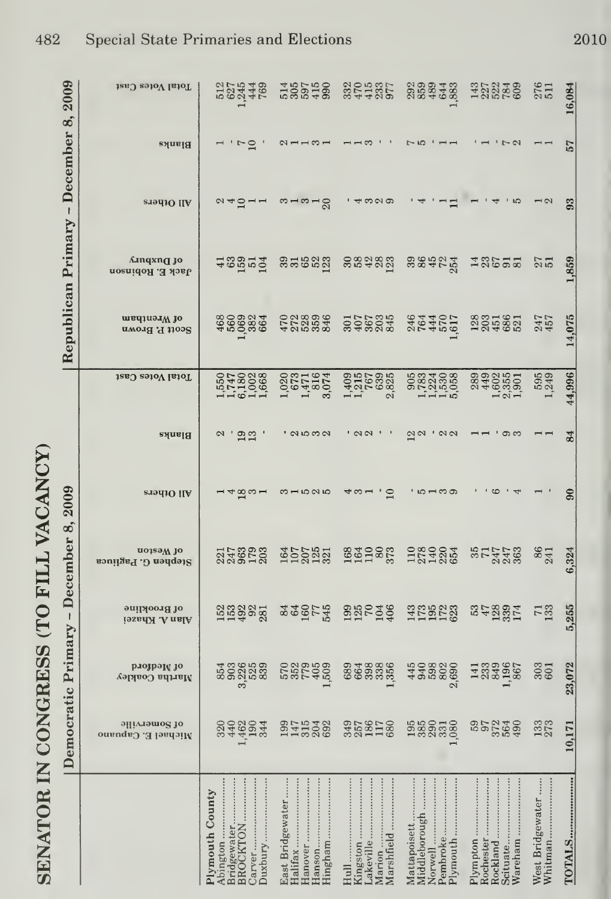| 2009                                 | Total Votes Cast                      | 5275448<br>5254469                                                |                                                                        | $3700007$<br>$37400$                                                     | $0.99940$<br>$0.99400$                               | 1222499                                                  | 276<br>511                  | 6,084  |
|--------------------------------------|---------------------------------------|-------------------------------------------------------------------|------------------------------------------------------------------------|--------------------------------------------------------------------------|------------------------------------------------------|----------------------------------------------------------|-----------------------------|--------|
|                                      | Blanks                                | °⊐                                                                | $\alpha$ – – $\infty$ –                                                |                                                                          | $\Gamma$ 10                                          | $\sim$ $\sim$                                            |                             | 57     |
|                                      | <b>ST941O IIA</b>                     | $\alpha$ $\alpha$ $\alpha$ $\alpha$ $\alpha$                      | $m - m - g$                                                            | ကလတ                                                                      |                                                      | rC                                                       | $\overline{2}$              |        |
|                                      | Amqxn <b>q</b> jo<br>Jack E. Robinson | 48852                                                             | 35623                                                                  | seages                                                                   | 38425                                                | 13622                                                    | $27$<br>$51$                | ,859   |
| Republican Primary - December 8,     | of Wrentham<br>Scott P. Brown         | 460024                                                            |                                                                        | <b>2022342</b><br>2022<br>2022                                           | 2444017<br>264405                                    | 2855821                                                  | 247<br>457                  | 14,075 |
|                                      | Total Votes Cast                      | 1550228<br>15713028<br>156116                                     | $\begin{array}{c} 1.020 \\ 673 \\ 1.471 \\ 3.074 \\ 3.074 \end{array}$ | $\begin{array}{c} 1.409 \\ 1.215 \\ 767 \\ 639 \\ 2.3825 \end{array}$    | 905<br>0823306<br>111506                             | $\frac{1,602}{2,355}$<br>289<br>449                      | 595                         | 44,996 |
| emocratic Primary - December 8, 2009 | Blanks                                | $\frac{9}{13}$<br>$\mathbf{c}$                                    | ' a ro w ci                                                            | $\sqrt{2}$                                                               | $\overline{\omega}$ a<br>$\sqrt{2}$                  | တက                                                       |                             | 55     |
|                                      | All Others                            | $-$ 4 $\mathfrak{A}$ $\omega$ $-$                                 | $3 - 525$                                                              | $\Omega$<br>∀ຕ−                                                          | ່ທີ່ພວ                                               |                                                          |                             |        |
|                                      | noissw io<br>Stephen G. Pagliuca      | 2178823                                                           | 5002331                                                                | 16419873                                                                 | 1222254                                              | 5014469                                                  | $\frac{86}{241}$            | 6,324  |
|                                      | of Brookline<br>Alan A. Khazei        | 153225                                                            | 849558                                                                 | <b>BRC199</b>                                                            | 115523                                               | 358321                                                   | <b>733</b>                  | 5,255  |
|                                      | рлозрам зо<br>Martha Coakley          | ភ្លូង ដូច និង<br>ដូច ដូច ដូច                                      | rabas<br>Cantag                                                        | 8848886                                                                  | 438886                                               | 1339<br>1339<br>,1967                                    | $\frac{303}{601}$           | 23,072 |
|                                      | əllivrəmo2 10<br>Michael E. Capuano   | 23324<br>234523                                                   | BR<br>14538<br>14538                                                   | 3581780                                                                  | 588858                                               | 852388<br>8528                                           | 133                         | 10,171 |
|                                      |                                       | Bridgewater<br><br>Plymouth County<br>Abington<br><b>BROCKTON</b> | Hingham<br>East Bridgewater                                            | <br>Marshfield<br>Marion<br>Kingston<br>$\text{Hull} \dots$<br>Lakeville | Middleborough<br>Pembroke<br>Norwell<br>Mattapoisett | Wareham<br>Plympton<br>Rochester<br>Scituate<br>Rockland | West Bridgewater<br>Whitman | TOTALS |